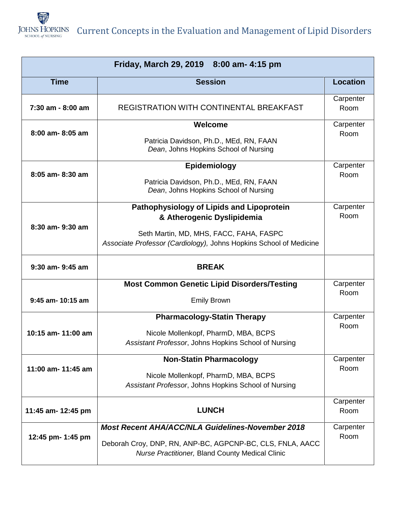

Current Concepts in the Evaluation and Management of Lipid Disorders

| Friday, March 29, 2019 8:00 am- 4:15 pm |                                                                                                                                                                                          |                   |  |
|-----------------------------------------|------------------------------------------------------------------------------------------------------------------------------------------------------------------------------------------|-------------------|--|
| <b>Time</b>                             | <b>Session</b>                                                                                                                                                                           | <b>Location</b>   |  |
| 7:30 am - 8:00 am                       | REGISTRATION WITH CONTINENTAL BREAKFAST                                                                                                                                                  | Carpenter<br>Room |  |
| 8:00 am-8:05 am                         | Welcome<br>Patricia Davidson, Ph.D., MEd, RN, FAAN<br>Dean, Johns Hopkins School of Nursing                                                                                              | Carpenter<br>Room |  |
| 8:05 am-8:30 am                         | Epidemiology<br>Patricia Davidson, Ph.D., MEd, RN, FAAN<br>Dean, Johns Hopkins School of Nursing                                                                                         | Carpenter<br>Room |  |
| 8:30 am- 9:30 am                        | Pathophysiology of Lipids and Lipoprotein<br>& Atherogenic Dyslipidemia<br>Seth Martin, MD, MHS, FACC, FAHA, FASPC<br>Associate Professor (Cardiology), Johns Hopkins School of Medicine | Carpenter<br>Room |  |
| 9:30 am- 9:45 am                        | <b>BREAK</b>                                                                                                                                                                             |                   |  |
| 9:45 am- 10:15 am                       | <b>Most Common Genetic Lipid Disorders/Testing</b><br><b>Emily Brown</b>                                                                                                                 | Carpenter<br>Room |  |
| 10:15 am- 11:00 am                      | <b>Pharmacology-Statin Therapy</b><br>Nicole Mollenkopf, PharmD, MBA, BCPS<br>Assistant Professor, Johns Hopkins School of Nursing                                                       | Carpenter<br>Room |  |
| 11:00 am- 11:45 am                      | <b>Non-Statin Pharmacology</b><br>Nicole Mollenkopf, PharmD, MBA, BCPS<br>Assistant Professor, Johns Hopkins School of Nursing                                                           | Carpenter<br>Room |  |
| 11:45 am- 12:45 pm                      | <b>LUNCH</b>                                                                                                                                                                             | Carpenter<br>Room |  |
| 12:45 pm- 1:45 pm                       | <b>Most Recent AHA/ACC/NLA Guidelines-November 2018</b><br>Deborah Croy, DNP, RN, ANP-BC, AGPCNP-BC, CLS, FNLA, AACC<br>Nurse Practitioner, Bland County Medical Clinic                  | Carpenter<br>Room |  |